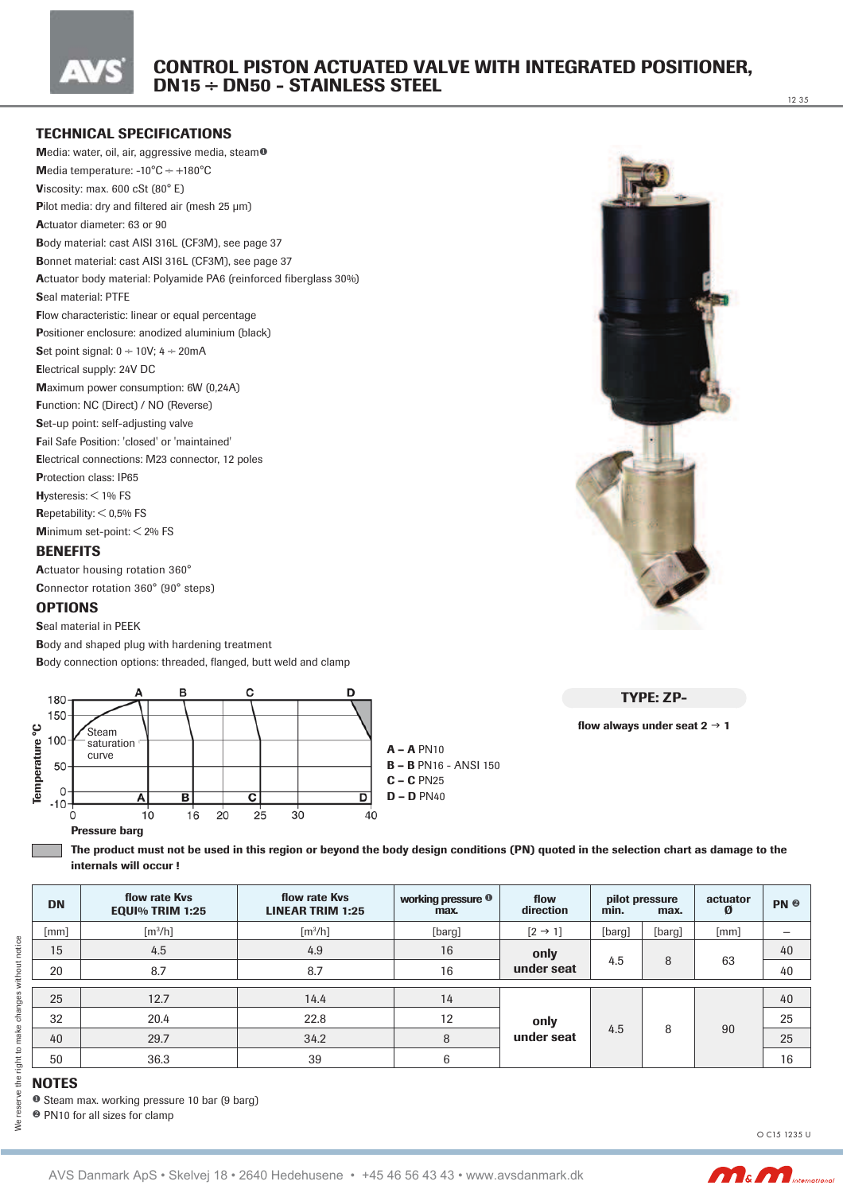

### **TECHNICAL SPECIFICATIONS**

Media: water, oil, air, aggressive media, steam<sup>o</sup> Media temperature:  $-10^{\circ}$ C  $\div$   $+180^{\circ}$ C Viscosity: max.  $600 \text{ cSt } (80^{\circ} \text{ E})$ Pilot media: dry and filtered air (mesh 25 µm) Actuator diameter: 63 or 90 Body material: cast AISI 316L (CF3M), see page 37 Bonnet material: cast AISI 316L (CF3M), see page 37 Actuator body material: Polyamide PA6 (reinforced fiberglass 30%) Seal material: PTFE Flow characteristic: linear or equal percentage Positioner enclosure: anodized aluminium (black) Set point signal:  $0 \div 10V$ ;  $4 \div 20$ mA Electrical supply: 24V DC Maximum power consumption: 6W (0,24A) Function: NC (Direct) / NO (Reverse) Set-up point: self-adjusting valve Fail Safe Position: 'closed' or 'maintained' Electrical connections: M23 connector, 12 poles Protection class: IP65 **Hysteresis:**  $<$  1% FS Repetability:  $<$  0,5% FS Minimum set-point:  $<$  2% FS



12 35

#### **BENEFITS** Actuator housing rotation 360°

Connector rotation 360° (90° steps)

#### **OPTIONS**

Seal material in PEEK

Body and shaped plug with hardening treatment

Body connection options: threaded, flanged, butt weld and clamp



**TYPE: ZP-**

flow always under seat  $2 \rightarrow 1$ 

The product must not be used in this region or beyond the body design conditions (PN) quoted in the selection chart as damage to the internals will occur!

| <b>DN</b> | flow rate Kys<br><b>EQUI% TRIM 1:25</b> | flow rate Kys<br>working pressure <sup>0</sup><br>flow<br><b>LINEAR TRIM 1:25</b><br>max. |        | direction           | pilot pressure<br>min.<br>max. |        | actuator<br>Ø | PN <sup>®</sup> |
|-----------|-----------------------------------------|-------------------------------------------------------------------------------------------|--------|---------------------|--------------------------------|--------|---------------|-----------------|
| [mm]      | $\lceil m^3/h \rceil$                   | $\lceil m^3/h \rceil$                                                                     | [barg] | $[2 \rightarrow 1]$ | [barg]                         | [barg] | [mm]          |                 |
| 15        | 4.5                                     | 4.9                                                                                       | 16     | only                |                                |        |               | 40              |
| 20        | 8.7                                     | 8.7                                                                                       | 16     | under seat          | 4.5                            | 8      | 63            | 40              |
| 25        | 12.7                                    | 14.4                                                                                      | 14     |                     |                                |        |               | 40              |
|           |                                         |                                                                                           |        |                     |                                |        |               |                 |
| 32        | 20.4                                    | 22.8                                                                                      | 12     | only                | 4.5                            | 8      | 90            | 25              |
| 40        | 29.7                                    | 34.2                                                                                      | 8      | under seat          |                                |        |               | 25              |
| 50        | 36.3                                    | 39                                                                                        | 6      |                     |                                |        |               | 16              |

₹

**NOTES** 

**O** Steam max. working pressure 10 bar (9 barg)

<sup>2</sup> PN10 for all sizes for clamp

O C15 1235 U

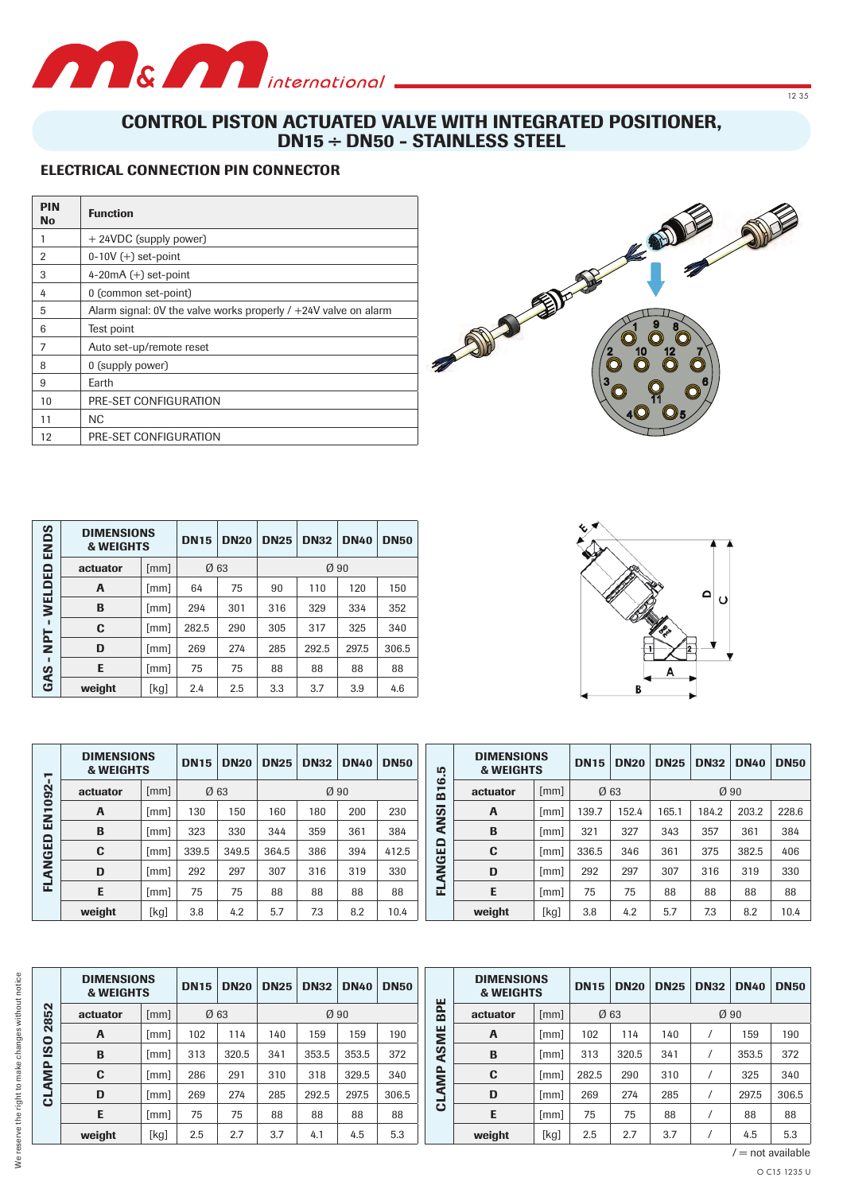

# **CONTROL PISTON ACTUATED VALVE WITH INTEGRATED POSITIONER, DN15 ÷ DN50 - STAINLESS STEEL**

## **ELECTRICAL CONNECTION PIN CONNECTOR**

| <b>PIN</b><br><b>No</b> | <b>Function</b>                                                   |
|-------------------------|-------------------------------------------------------------------|
|                         | + 24VDC (supply power)                                            |
| 2                       | $0-10V (+)$ set-point                                             |
| 3                       | 4-20 $mA (+) set$ -point                                          |
| 4                       | 0 (common set-point)                                              |
| 5                       | Alarm signal: 0V the valve works properly $/ +24V$ valve on alarm |
| 6                       | Test point                                                        |
| 7                       | Auto set-up/remote reset                                          |
| 8                       | 0 (supply power)                                                  |
| 9                       | Earth                                                             |
| 10                      | PRE-SET CONFIGURATION                                             |
| 11                      | NC.                                                               |
| 12                      | PRE-SET CONFIGURATION                                             |

| ဖာ<br>END    | <b>DIMENSIONS</b><br><b>&amp; WEIGHTS</b> |      | <b>DN15</b> | <b>DN20</b> | <b>DN25</b> | <b>DN32</b> | <b>DN40</b> | <b>DN50</b> |
|--------------|-------------------------------------------|------|-------------|-------------|-------------|-------------|-------------|-------------|
| ≏            | actuator                                  | [mm] | Ø63         |             | Ø90         |             |             |             |
| <b>WELDE</b> | A                                         | [mm] | 64          | 75          | 90          | 110         | 120         | 150         |
|              | B                                         | [mm] | 294         | 301         | 316         | 329         | 334         | 352         |
|              | C                                         | [mm] | 282.5       | 290         | 305         | 317         | 325         | 340         |
| <b>TdM</b>   | D                                         | [mm] | 269         | 274         | 285         | 292.5       | 297.5       | 306.5       |
|              | E                                         | [mm] | 75          | 75          | 88          | 88          | 88          | 88          |
| GAS          | weight                                    | [kg] | 2.4         | 2.5         | 3.3         | 3.7         | 3.9         | 4.6         |

| 7       | <b>DIMENSIONS</b><br><b>&amp; WEIGHTS</b> |      | <b>DN15</b> | <b>DN20</b> | <b>DN25</b>      | <b>DN32</b> | <b>DN40</b> | <b>DN50</b> |  |
|---------|-------------------------------------------|------|-------------|-------------|------------------|-------------|-------------|-------------|--|
|         | actuator                                  | [mm] | Ø 63        |             | $\varnothing$ 90 |             |             |             |  |
| EN1092  | A                                         | [mm] | 130         | 150         | 160              | 180         | 200         | 230         |  |
|         | B                                         | [mm] | 323         | 330         | 344              | 359         | 361         | 384         |  |
| FLANGED | C                                         | [mm] | 339.5       | 349.5       | 364.5            | 386         | 394         | 412.5       |  |
|         | D                                         | [mm] | 292         | 297         | 307              | 316         | 319         | 330         |  |
|         | E.                                        | [mm] | 75          | 75          | 88               | 88          | 88          | 88          |  |
|         | weight                                    | [kg] | 3.8         | 4.2         | 5.7              | 7.3         | 8.2         | 10.4        |  |

| 9<br>8<br>10<br>12<br>8 |  |
|-------------------------|--|

 $1235$ 



|       | <b>DIMENSIONS</b><br><b>&amp; WEIGHTS</b> |      | <b>DN15</b> | <b>DN20</b> | <b>DN25</b>      | <b>DN32</b> | <b>DN40</b> | <b>DN50</b> |
|-------|-------------------------------------------|------|-------------|-------------|------------------|-------------|-------------|-------------|
| B16.5 | actuator                                  | [mm] | Ø63         |             | $\varnothing$ 90 |             |             |             |
| ANSI  | A                                         | [mm] | 139.7       | 152.4       | 165.1            | 184.2       | 203.2       | 228.6       |
|       | B                                         | [mm] | 321         | 327         | 343              | 357         | 361         | 384         |
| 읍     | C                                         | [mm] | 336.5       | 346         | 361              | 375         | 382.5       | 406         |
| LANGI | D                                         | [mm] | 292         | 297         | 307              | 316         | 319         | 330         |
| 囸     | E                                         | [mm] | 75          | 75          | 88               | 88          | 88          | 88          |
|       | weight                                    | [kg] | 3.8         | 4.2         | 5.7              | 7.3         | 8.2         | 10.4        |

|               | <b>DIMENSIONS</b><br><b>&amp; WEIGHTS</b> |      | <b>DN15</b> | <b>DN20</b> | <b>DN25</b> | <b>DN32</b> | <b>DN40</b> | <b>DN50</b> |  |
|---------------|-------------------------------------------|------|-------------|-------------|-------------|-------------|-------------|-------------|--|
| 2852          | actuator                                  | [mm] | Ø63         |             | Ø90         |             |             |             |  |
|               | A                                         | [mm] | 102         | 114         | 140         | 159         | 159         | 190         |  |
| $\frac{1}{2}$ | B                                         | [mm] | 313         | 320.5       | 341         | 353.5       | 353.5       | 372         |  |
| AMP           | C                                         | [mm] | 286         | 291         | 310         | 318         | 329.5       | 340         |  |
| ಕ             | D                                         | [mm] | 269         | 274         | 285         | 292.5       | 297.5       | 306.5       |  |
|               | E                                         | [mm] | 75          | 75          | 88          | 88          | 88          | 88          |  |
|               | weight                                    | [kg] | 2.5         | 2.7         | 3.7         | 4.1         | 4.5         | 5.3         |  |

|             | <b>DIMENSIONS</b><br><b>&amp; WEIGHTS</b> |      | <b>DN15</b> | <b>DN20</b> | <b>DN25</b> | <b>DN32</b> | <b>DN40</b> | <b>DN50</b> |  |
|-------------|-------------------------------------------|------|-------------|-------------|-------------|-------------|-------------|-------------|--|
| BPE         | actuator                                  | [mm] | Ø63         |             | Ø90         |             |             |             |  |
| ASME        | A                                         | [mm] | 102         | 114         | 140         |             | 159         | 190         |  |
|             | B                                         | [mm] | 313         | 320.5       | 341         |             | 353.5       | 372         |  |
|             | C                                         | [mm] | 282.5       | 290         | 310         |             | 325         | 340         |  |
| <b>LAMP</b> | D                                         | [mm] | 269         | 274         | 285         |             | 297.5       | 306.5       |  |
| ت           | Е                                         | [mm] | 75          | 75          | 88          | 7           | 88          | 88          |  |
|             | weight                                    | [kg] | 2.5         | 2.7         | 3.7         |             | 4.5         | 5.3         |  |

We reserve the right to make changes without notice

 $l =$  not available